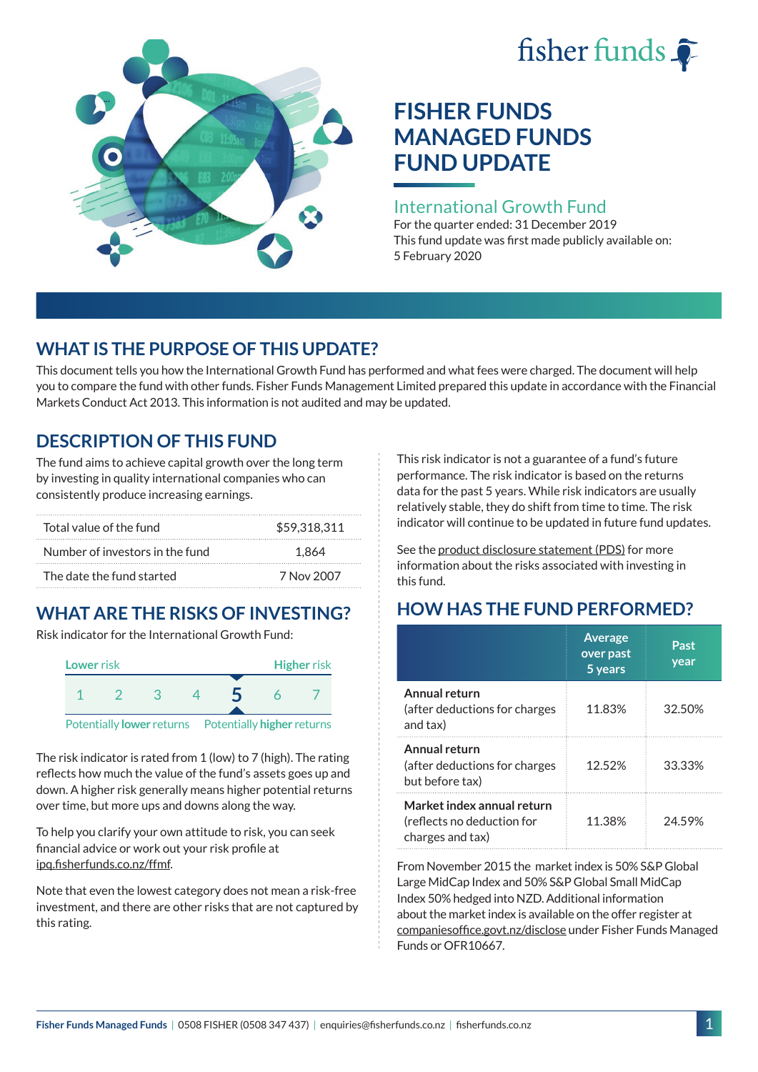# fisher funds  $\hat{\bullet}$



# **FISHER FUNDS MANAGED FUNDS FUND UPDATE**

## International Growth Fund

For the quarter ended: 31 December 2019 This fund update was first made publicly available on: 5 February 2020

# **WHAT IS THE PURPOSE OF THIS UPDATE?**

This document tells you how the International Growth Fund has performed and what fees were charged. The document will help you to compare the fund with other funds. Fisher Funds Management Limited prepared this update in accordance with the Financial Markets Conduct Act 2013. This information is not audited and may be updated.

# **DESCRIPTION OF THIS FUND**

The fund aims to achieve capital growth over the long term by investing in quality international companies who can consistently produce increasing earnings.

| Total value of the fund         | \$59.318.311 |
|---------------------------------|--------------|
| Number of investors in the fund | 1.864        |
| The date the fund started       | 7 Nov 2007   |

# **WHAT ARE THE RISKS OF INVESTING?**

Risk indicator for the International Growth Fund:



The risk indicator is rated from 1 (low) to 7 (high). The rating reflects how much the value of the fund's assets goes up and down. A higher risk generally means higher potential returns over time, but more ups and downs along the way.

To help you clarify your own attitude to risk, you can seek financial advice or work out your risk profile at [ipq.fisherfunds.co.nz/ffmf](https://ipq.fisherfunds.co.nz/ffmf).

Note that even the lowest category does not mean a risk-free investment, and there are other risks that are not captured by this rating.

This risk indicator is not a guarantee of a fund's future performance. The risk indicator is based on the returns data for the past 5 years. While risk indicators are usually relatively stable, they do shift from time to time. The risk indicator will continue to be updated in future fund updates.

See the [product disclosure statement \(PDS\)](https://fisherfunds.co.nz/assets/PDS/Fisher-Funds-Managed-Funds-PDS.pdf) for more information about the risks associated with investing in this fund.

# **HOW HAS THE FUND PERFORMED?**

|                                                                              | <b>Average</b><br>over past<br>5 years | Past<br>year |
|------------------------------------------------------------------------------|----------------------------------------|--------------|
| Annual return<br>(after deductions for charges<br>and tax)                   | 11.83%                                 | 32.50%       |
| Annual return<br>(after deductions for charges<br>but before tax)            | 12.52%                                 | 33.33%       |
| Market index annual return<br>(reflects no deduction for<br>charges and tax) | 11.38%                                 | 24.59%       |

From November 2015 the market index is 50% S&P Global Large MidCap Index and 50% S&P Global Small MidCap Index 50% hedged into NZD. Additional information about the market index is available on the offer register at [companiesoffice.govt.nz/disclose](http://companiesoffice.govt.nz/disclose) under Fisher Funds Managed Funds or OFR10667.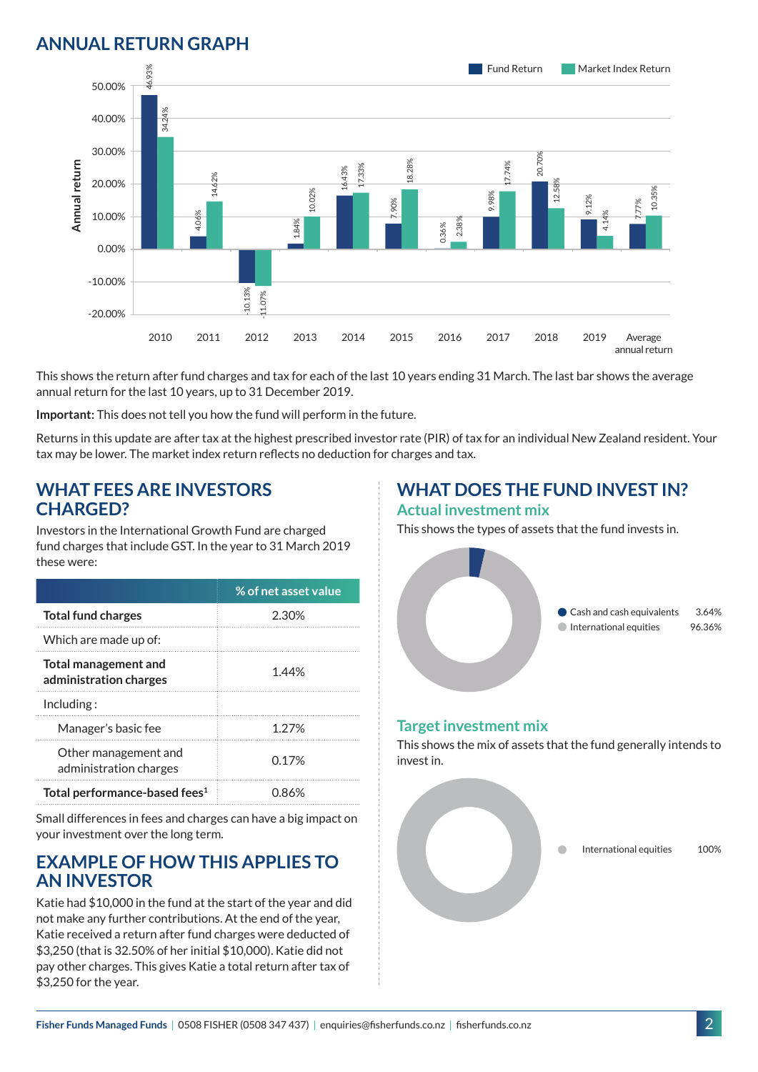# **ANNUAL RETURN GRAPH**



This shows the return after fund charges and tax for each of the last 10 years ending 31 March. The last bar shows the average annual return for the last 10 years, up to 31 December 2019.

**Important:** This does not tell you how the fund will perform in the future.

Returns in this update are after tax at the highest prescribed investor rate (PIR) of tax for an individual New Zealand resident. Your tax may be lower. The market index return reflects no deduction for charges and tax.

### **WHAT FEES ARE INVESTORS CHARGED?**

Investors in the International Growth Fund are charged fund charges that include GST. In the year to 31 March 2019 these were:

|                                                | % of net asset value |
|------------------------------------------------|----------------------|
| <b>Total fund charges</b>                      | 2.30%                |
| Which are made up of:                          |                      |
| Total management and<br>administration charges | 1.44%                |
| Inding:                                        |                      |
| Manager's basic fee                            | 1.27%                |
| Other management and<br>administration charges | 0.17%                |
| Total performance-based fees <sup>1</sup>      | 0.86%                |

Small differences in fees and charges can have a big impact on your investment over the long term.

## **EXAMPLE OF HOW THIS APPLIES TO AN INVESTOR**

Katie had \$10,000 in the fund at the start of the year and did not make any further contributions. At the end of the year, Katie received a return after fund charges were deducted of \$3,250 (that is 32.50% of her initial \$10,000). Katie did not pay other charges. This gives Katie a total return after tax of \$3,250 for the year.

# **WHAT DOES THE FUND INVEST IN?**

#### **Actual investment mix**

This shows the types of assets that the fund invests in.



#### **Target investment mix**

This shows the mix of assets that the fund generally intends to invest in.